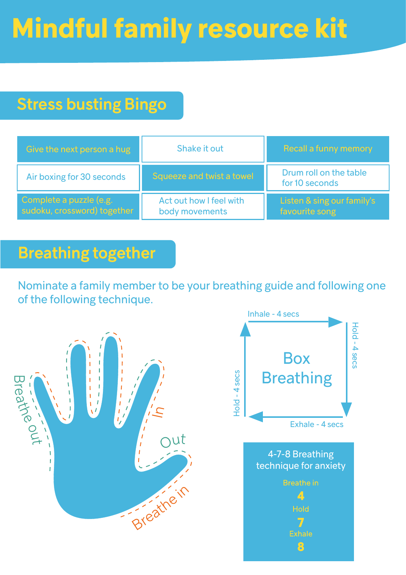# **Mindful family resource kit**

## Stress busting Bingo

| Give the next person a hug                             | Shake it out                              | <b>Recall a funny memory</b>                 |
|--------------------------------------------------------|-------------------------------------------|----------------------------------------------|
| Air boxing for 30 seconds                              | Squeeze and twist a towel                 | Drum roll on the table<br>for 10 seconds     |
| Complete a puzzle (e.g.<br>sudoku, crossword) together | Act out how I feel with<br>body movements | Listen & sing our family's<br>favourite song |

#### Breathing together

Nominate a family member to be your breathing guide and following one of the following technique.



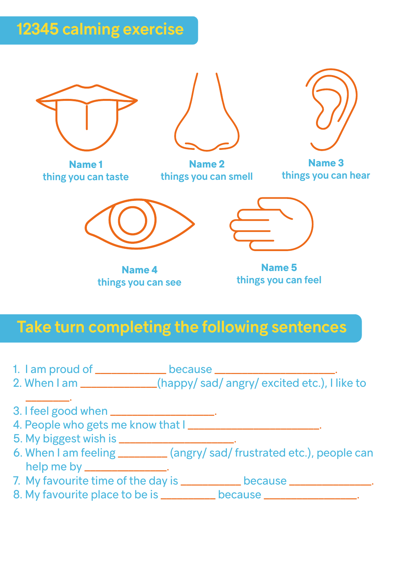## 12345 calming exercise



**Name 4**  things you can see

**Name 5**  things you can feel

#### Take turn completing the following sentences

- 1. I am proud of \_\_\_\_\_\_\_\_\_\_\_\_\_ because \_\_\_\_\_\_\_\_\_\_\_\_\_\_\_\_\_\_\_\_\_.
- 2. When I am \_\_\_\_\_\_\_\_\_\_\_\_\_\_(happy/ sad/ angry/ excited etc.), I like to
- 3. I feel good when \_\_\_\_\_\_\_\_\_\_\_\_\_\_\_\_\_\_\_.
- 4. People who gets me know that I \_\_\_\_\_\_\_\_\_\_\_\_\_\_\_\_\_\_\_\_\_\_\_\_\_.
- 5. My biggest wish is \_\_\_\_\_\_\_\_\_\_\_\_\_\_\_\_\_\_\_\_\_.

\_\_\_\_\_\_\_\_.

- 6. When I am feeling \_\_\_\_\_\_\_\_\_ (angry/ sad/ frustrated etc.), people can help me by \_\_\_\_\_\_\_\_\_\_\_\_\_\_\_.
- 7. My favourite time of the day is \_\_\_\_\_\_\_\_\_\_ because \_\_\_\_\_\_\_\_\_\_\_\_\_\_.
- 8. My favourite place to be is \_\_\_\_\_\_\_\_\_\_ because \_\_\_\_\_\_\_\_\_\_\_\_\_\_\_.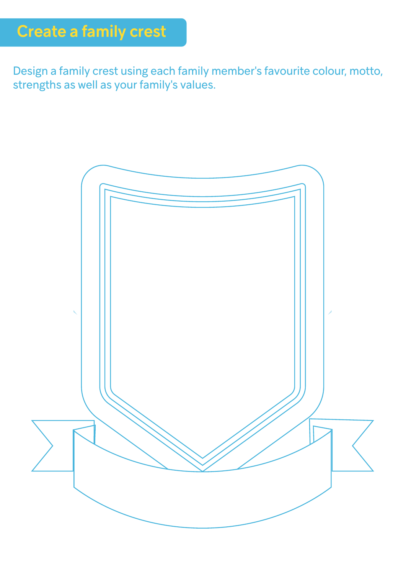Design a family crest using each family member's favourite colour, motto, strengths as well as your family's values.

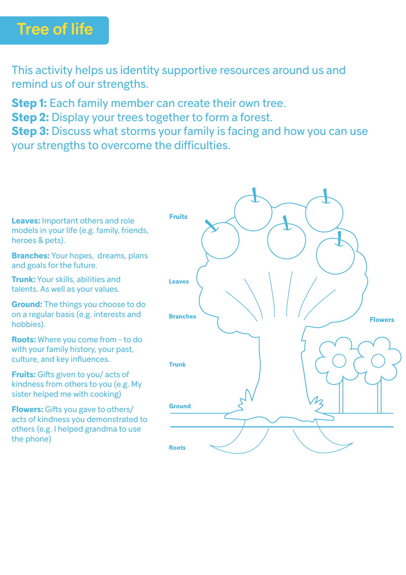### Tree of life

This activity helps us identity supportive resources around us and remind us of our strengths.

**Step 1:** Each family member can create their own tree.

**Step 2:** Display your trees together to form a forest.

**Step 3:** Discuss what storms your family is facing and how you can use your strengths to overcome the difficulties.